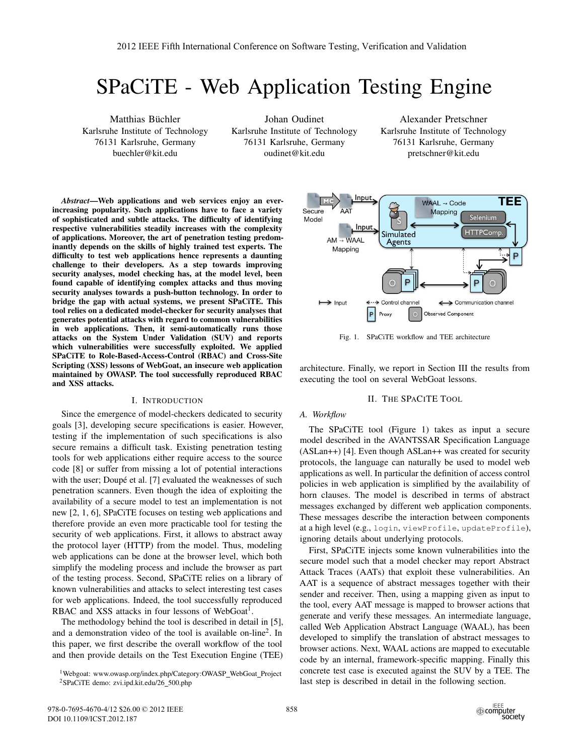# SPaCiTE - Web Application Testing Engine

Matthias Büchler Karlsruhe Institute of Technology 76131 Karlsruhe, Germany buechler@kit.edu

Johan Oudinet Karlsruhe Institute of Technology 76131 Karlsruhe, Germany oudinet@kit.edu

Alexander Pretschner Karlsruhe Institute of Technology 76131 Karlsruhe, Germany pretschner@kit.edu

*Abstract*—Web applications and web services enjoy an everincreasing popularity. Such applications have to face a variety of sophisticated and subtle attacks. The difficulty of identifying respective vulnerabilities steadily increases with the complexity of applications. Moreover, the art of penetration testing predominantly depends on the skills of highly trained test experts. The difficulty to test web applications hence represents a daunting challenge to their developers. As a step towards improving security analyses, model checking has, at the model level, been found capable of identifying complex attacks and thus moving security analyses towards a push-button technology. In order to bridge the gap with actual systems, we present SPaCiTE. This tool relies on a dedicated model-checker for security analyses that generates potential attacks with regard to common vulnerabilities in web applications. Then, it semi-automatically runs those attacks on the System Under Validation (SUV) and reports which vulnerabilities were successfully exploited. We applied SPaCiTE to Role-Based-Access-Control (RBAC) and Cross-Site Scripting (XSS) lessons of WebGoat, an insecure web application maintained by OWASP. The tool successfully reproduced RBAC and XSS attacks.

### I. INTRODUCTION

Since the emergence of model-checkers dedicated to security goals [3], developing secure specifications is easier. However, testing if the implementation of such specifications is also secure remains a difficult task. Existing penetration testing tools for web applications either require access to the source code [8] or suffer from missing a lot of potential interactions with the user; Doupé et al. [7] evaluated the weaknesses of such penetration scanners. Even though the idea of exploiting the availability of a secure model to test an implementation is not new [2, 1, 6], SPaCiTE focuses on testing web applications and therefore provide an even more practicable tool for testing the security of web applications. First, it allows to abstract away the protocol layer (HTTP) from the model. Thus, modeling web applications can be done at the browser level, which both simplify the modeling process and include the browser as part of the testing process. Second, SPaCiTE relies on a library of known vulnerabilities and attacks to select interesting test cases for web applications. Indeed, the tool successfully reproduced RBAC and XSS attacks in four lessons of WebGoat<sup>1</sup>.

The methodology behind the tool is described in detail in [5], and a demonstration video of the tool is available on-line2. In this paper, we first describe the overall workflow of the tool and then provide details on the Test Execution Engine (TEE)

<sup>1</sup>Webgoat: www.owasp.org/index.php/Category:OWASP\_WebGoat\_Project <sup>2</sup>SPaCiTE demo: zvi.ipd.kit.edu/26\_500.php



Fig. 1. SPaCiTE workflow and TEE architecture

architecture. Finally, we report in Section III the results from executing the tool on several WebGoat lessons.

# II. THE SPACITE TOOL

# *A. Workflow*

The SPaCiTE tool (Figure 1) takes as input a secure model described in the AVANTSSAR Specification Language (ASLan++) [4]. Even though ASLan++ was created for security protocols, the language can naturally be used to model web applications as well. In particular the definition of access control policies in web application is simplified by the availability of horn clauses. The model is described in terms of abstract messages exchanged by different web application components. These messages describe the interaction between components at a high level (e.g., login, viewProfile, updateProfile), ignoring details about underlying protocols.

First, SPaCiTE injects some known vulnerabilities into the secure model such that a model checker may report Abstract Attack Traces (AATs) that exploit these vulnerabilities. An AAT is a sequence of abstract messages together with their sender and receiver. Then, using a mapping given as input to the tool, every AAT message is mapped to browser actions that generate and verify these messages. An intermediate language, called Web Application Abstract Language (WAAL), has been developed to simplify the translation of abstract messages to browser actions. Next, WAAL actions are mapped to executable code by an internal, framework-specific mapping. Finally this concrete test case is executed against the SUV by a TEE. The last step is described in detail in the following section.